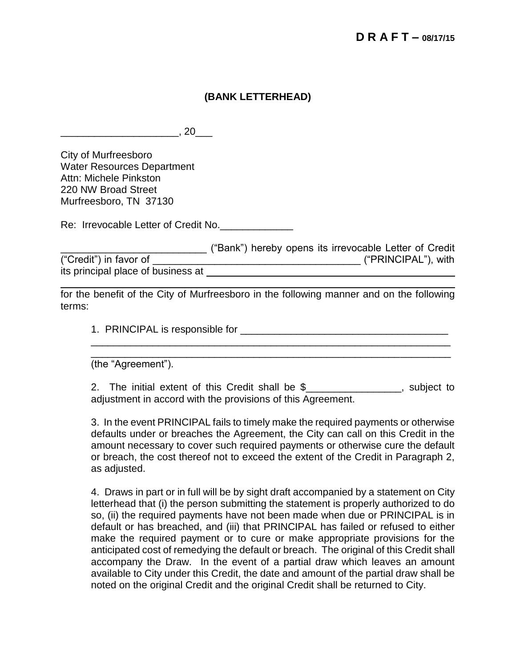## **(BANK LETTERHEAD)**

 $\overline{\phantom{a}}$  , 20 $\overline{\phantom{a}}$  , 20 $\overline{\phantom{a}}$ 

City of Murfreesboro Water Resources Department Attn: Michele Pinkston 220 NW Broad Street Murfreesboro, TN 37130

Re: Irrevocable Letter of Credit No.

\_\_\_\_\_\_\_\_\_\_\_\_\_\_\_\_\_\_\_\_\_\_\_\_\_\_ ("Bank") hereby opens its irrevocable Letter of Credit ("Credit") in favor of \_\_\_\_\_\_\_\_\_\_\_\_\_\_\_\_\_\_\_\_\_\_\_\_\_\_\_\_\_\_\_\_\_\_\_\_\_ ("PRINCIPAL"), with its principal place of business at 

for the benefit of the City of Murfreesboro in the following manner and on the following terms:

1. PRINCIPAL is responsible for \_\_\_\_\_\_\_\_\_\_\_\_\_\_\_\_\_\_\_\_\_\_\_\_\_\_\_\_\_\_\_\_\_\_\_\_\_

(the "Agreement").

2. The initial extent of this Credit shall be \$\_\_\_\_\_\_\_\_\_\_\_\_\_\_\_\_, subject to adjustment in accord with the provisions of this Agreement.

\_\_\_\_\_\_\_\_\_\_\_\_\_\_\_\_\_\_\_\_\_\_\_\_\_\_\_\_\_\_\_\_\_\_\_\_\_\_\_\_\_\_\_\_\_\_\_\_\_\_\_\_\_\_\_\_\_\_\_\_\_\_\_\_

3. In the event PRINCIPAL fails to timely make the required payments or otherwise defaults under or breaches the Agreement, the City can call on this Credit in the amount necessary to cover such required payments or otherwise cure the default or breach, the cost thereof not to exceed the extent of the Credit in Paragraph 2, as adjusted.

4. Draws in part or in full will be by sight draft accompanied by a statement on City letterhead that (i) the person submitting the statement is properly authorized to do so, (ii) the required payments have not been made when due or PRINCIPAL is in default or has breached, and (iii) that PRINCIPAL has failed or refused to either make the required payment or to cure or make appropriate provisions for the anticipated cost of remedying the default or breach. The original of this Credit shall accompany the Draw. In the event of a partial draw which leaves an amount available to City under this Credit, the date and amount of the partial draw shall be noted on the original Credit and the original Credit shall be returned to City.